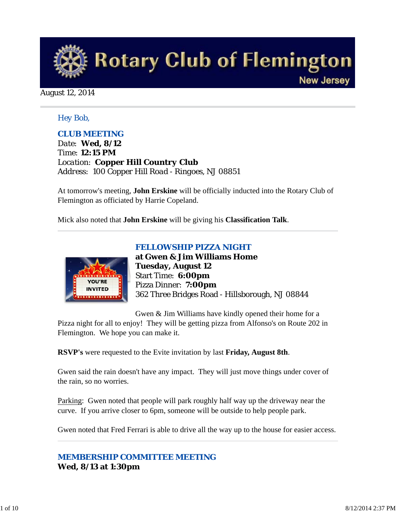

August 12, 2014

### *Hey Bob,*

### *CLUB MEETING*

*Date: Wed, 8/12 Time: 12:15 PM Location: Copper Hill Country Club Address: 100 Copper Hill Road - Ringoes, NJ 08851*

At tomorrow's meeting, **John Erskine** will be officially inducted into the Rotary Club of Flemington as officiated by Harrie Copeland.

Mick also noted that **John Erskine** will be giving his **Classification Talk**.



*FELLOWSHIP PIZZA NIGHT* **at Gwen & Jim Williams Home Tuesday, August 12** Start Time: **6:00pm** Pizza Dinner: **7:00pm** 362 Three Bridges Road - Hillsborough, NJ 08844

Gwen & Jim Williams have kindly opened their home for a

Pizza night for all to enjoy! They will be getting pizza from Alfonso's on Route 202 in Flemington. We hope you can make it.

**RSVP's** were requested to the Evite invitation by last **Friday, August 8th**.

Gwen said the rain doesn't have any impact. They will just move things under cover of the rain, so no worries.

Parking: Gwen noted that people will park roughly half way up the driveway near the curve. If you arrive closer to 6pm, someone will be outside to help people park.

Gwen noted that Fred Ferrari is able to drive all the way up to the house for easier access.

### *MEMBERSHIP COMMITTEE MEETING* **Wed, 8/13 at 1:30pm**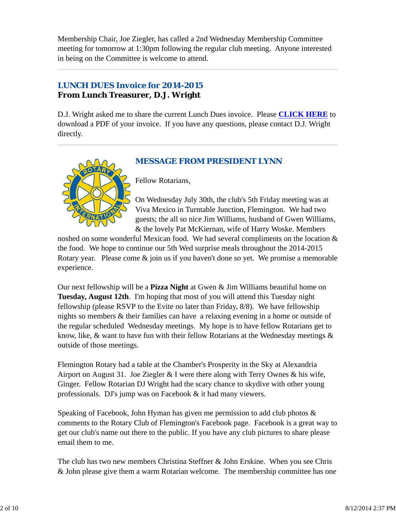Membership Chair, Joe Ziegler, has called a 2nd Wednesday Membership Committee meeting for tomorrow at 1:30pm following the regular club meeting. Anyone interested in being on the Committee is welcome to attend.

## *LUNCH DUES Invoice for 2014-2015* **From Lunch Treasurer, D.J. Wright**

D.J. Wright asked me to share the current Lunch Dues invoice. Please **CLICK HERE** to download a PDF of your invoice. If you have any questions, please contact D.J. Wright directly.

## *MESSAGE FROM PRESIDENT LYNN*



Fellow Rotarians,

On Wednesday July 30th, the club's 5th Friday meeting was at Viva Mexico in Turntable Junction, Flemington. We had two guests; the all so nice Jim Williams, husband of Gwen Williams, & the lovely Pat McKiernan, wife of Harry Woske. Members

noshed on some wonderful Mexican food. We had several compliments on the location & the food. We hope to continue our 5th Wed surprise meals throughout the 2014-2015 Rotary year. Please come & join us if you haven't done so yet. We promise a memorable experience.

Our next fellowship will be a **Pizza Night** at Gwen & Jim Williams beautiful home on **Tuesday, August 12th**. I'm hoping that most of you will attend this Tuesday night fellowship (please RSVP to the Evite no later than Friday, 8/8). We have fellowship nights so members & their families can have a relaxing evening in a home or outside of the regular scheduled Wednesday meetings. My hope is to have fellow Rotarians get to know, like, & want to have fun with their fellow Rotarians at the Wednesday meetings & outside of those meetings.

Flemington Rotary had a table at the Chamber's Prosperity in the Sky at Alexandria Airport on August 31. Joe Ziegler & I were there along with Terry Ownes & his wife, Ginger. Fellow Rotarian DJ Wright had the scary chance to skydive with other young professionals. DJ's jump was on Facebook & it had many viewers.

Speaking of Facebook, John Hyman has given me permission to add club photos & comments to the Rotary Club of Flemington's Facebook page. Facebook is a great way to get our club's name out there to the public. If you have any club pictures to share please email them to me.

The club has two new members Christina Steffner & John Erskine. When you see Chris & John please give them a warm Rotarian welcome. The membership committee has one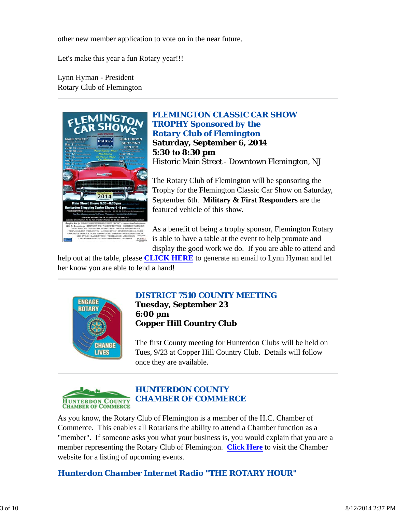other new member application to vote on in the near future.

Let's make this year a fun Rotary year!!!

Lynn Hyman - President Rotary Club of Flemington



*FLEMINGTON CLASSIC CAR SHOW TROPHY Sponsored by the Rotary Club of Flemington* **Saturday, September 6, 2014 5:30 to 8:30 pm** Historic Main Street - Downtown Flemington, NJ

The Rotary Club of Flemington will be sponsoring the Trophy for the Flemington Classic Car Show on Saturday, September 6th. **Military & First Responders** are the featured vehicle of this show.

As a benefit of being a trophy sponsor, Flemington Rotary is able to have a table at the event to help promote and display the good work we do. If you are able to attend and

help out at the table, please **CLICK HERE** to generate an email to Lynn Hyman and let her know you are able to lend a hand!



### *DISTRICT 7510 COUNTY MEETING* **Tuesday, September 23 6:00 pm Copper Hill Country Club**

The first County meeting for Hunterdon Clubs will be held on Tues, 9/23 at Copper Hill Country Club. Details will follow once they are available.



As you know, the Rotary Club of Flemington is a member of the H.C. Chamber of Commerce. This enables all Rotarians the ability to attend a Chamber function as a "member". If someone asks you what your business is, you would explain that you are a member representing the Rotary Club of Flemington. **Click Here** to visit the Chamber website for a listing of upcoming events.

### *Hunterdon Chamber Internet Radio "THE ROTARY HOUR"*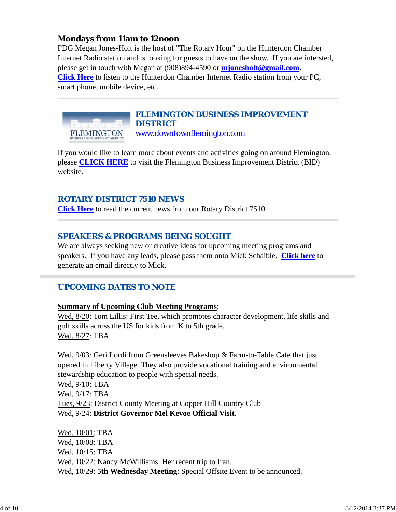### **Mondays from 11am to 12noon**

PDG Megan Jones-Holt is the host of "The Rotary Hour" on the Hunterdon Chamber Internet Radio station and is looking for guests to have on the show. If you are intersted, please get in touch with Megan at (908)894-4590 or **mjonesholt@gmail.com**. **Click Here** to listen to the Hunterdon Chamber Internet Radio station from your PC, smart phone, mobile device, etc.



#### *FLEMINGTON BUSINESS IMPROVEMENT DISTRICT* www.downtownflemington.com

If you would like to learn more about events and activities going on around Flemington, please **CLICK HERE** to visit the Flemington Business Improvement District (BID) website.

### *ROTARY DISTRICT 7510 NEWS*

**Click Here** to read the current news from our Rotary District 7510.

### *SPEAKERS & PROGRAMS BEING SOUGHT*

We are always seeking new or creative ideas for upcoming meeting programs and speakers. If you have any leads, please pass them onto Mick Schaible. **Click here** to generate an email directly to Mick.

### *UPCOMING DATES TO NOTE*

#### **Summary of Upcoming Club Meeting Programs**:

Wed, 8/20: Tom Lillis: First Tee, which promotes character development, life skills and golf skills across the US for kids from K to 5th grade. Wed, 8/27: TBA

Wed, 9/03: Geri Lordi from Greensleeves Bakeshop & Farm-to-Table Cafe that just opened in Liberty Village. They also provide vocational training and environmental stewardship education to people with special needs. Wed, 9/10: TBA Wed, 9/17: TBA Tues, 9/23: District County Meeting at Copper Hill Country Club Wed, 9/24: **District Governor Mel Kevoe Official Visit**.

Wed, 10/01: TBA Wed, 10/08: TBA Wed, 10/15: TBA Wed, 10/22: Nancy McWilliams: Her recent trip to Iran. Wed, 10/29: **5th Wednesday Meeting**: Special Offsite Event to be announced.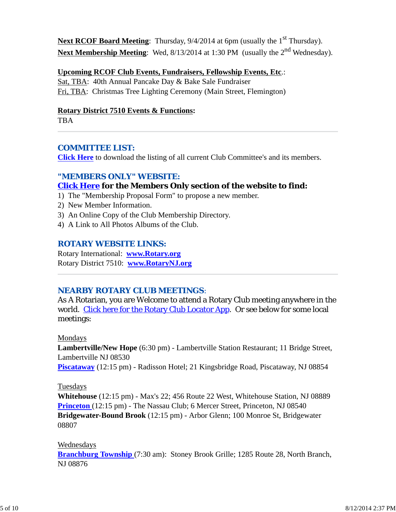**Next RCOF Board Meeting**: Thursday, 9/4/2014 at 6pm (usually the 1<sup>st</sup> Thursday). Next Membership Meeting: Wed, 8/13/2014 at 1:30 PM (usually the 2<sup>nd</sup> Wednesday).

#### **Upcoming RCOF Club Events, Fundraisers, Fellowship Events, Etc**.:

Sat, TBA: 40th Annual Pancake Day & Bake Sale Fundraiser Fri, TBA: Christmas Tree Lighting Ceremony (Main Street, Flemington)

#### **Rotary District 7510 Events & Functions:**

TBA

#### *COMMITTEE LIST:*

**Click Here** to download the listing of all current Club Committee's and its members.

#### *"MEMBERS ONLY" WEBSITE:*

### **Click Here for the Members Only section of the website to find:**

- 1) The "Membership Proposal Form" to propose a new member.
- 2) New Member Information.
- 3) An Online Copy of the Club Membership Directory.
- 4) A Link to All Photos Albums of the Club.

#### *ROTARY WEBSITE LINKS:*

Rotary International: **www.Rotary.org** Rotary District 7510: **www.RotaryNJ.org**

#### *NEARBY ROTARY CLUB MEETINGS:*

As A Rotarian, you are Welcome to attend a Rotary Club meeting anywhere in the world. Click here for the Rotary Club Locator App. Or see below for some local meetings:

#### Mondays

**Lambertville/New Hope** (6:30 pm) - Lambertville Station Restaurant; 11 Bridge Street, Lambertville NJ 08530

**Piscataway** (12:15 pm) - Radisson Hotel; 21 Kingsbridge Road, Piscataway, NJ 08854

#### Tuesdays

**Whitehouse** (12:15 pm) - Max's 22; 456 Route 22 West, Whitehouse Station, NJ 08889 **Princeton** (12:15 pm) - The Nassau Club; 6 Mercer Street, Princeton, NJ 08540 **Bridgewater-Bound Brook** (12:15 pm) - Arbor Glenn; 100 Monroe St, Bridgewater 08807

#### Wednesdays

**Branchburg Township** (7:30 am): Stoney Brook Grille; 1285 Route 28, North Branch, NJ 08876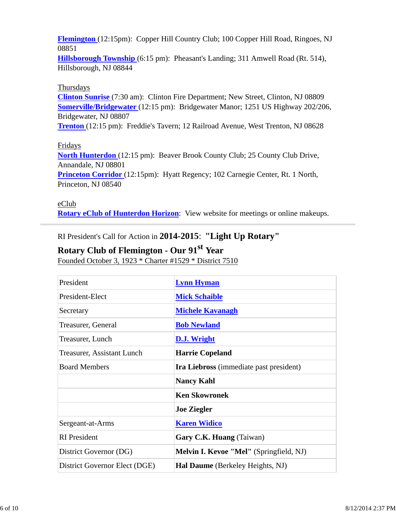**Flemington** (12:15pm): Copper Hill Country Club; 100 Copper Hill Road, Ringoes, NJ 08851

**Hillsborough Township** (6:15 pm): Pheasant's Landing; 311 Amwell Road (Rt. 514), Hillsborough, NJ 08844

### Thursdays

**Clinton Sunrise** (7:30 am): Clinton Fire Department; New Street, Clinton, NJ 08809 **Somerville/Bridgewater** (12:15 pm): Bridgewater Manor; 1251 US Highway 202/206, Bridgewater, NJ 08807

**Trenton** (12:15 pm): Freddie's Tavern; 12 Railroad Avenue, West Trenton, NJ 08628

#### Fridays

**North Hunterdon** (12:15 pm): Beaver Brook County Club; 25 County Club Drive, Annandale, NJ 08801

**Princeton Corridor** (12:15pm): Hyatt Regency; 102 Carnegie Center, Rt. 1 North, Princeton, NJ 08540

#### eClub

**Rotary eClub of Hunterdon Horizon**: View website for meetings or online makeups.

RI President's Call for Action in **2014-2015**: **"Light Up Rotary"**

# **Rotary Club of Flemington - Our 91st Year**

Founded October 3, 1923 \* Charter #1529 \* District 7510

| President                     | <b>Lynn Hyman</b>                              |
|-------------------------------|------------------------------------------------|
| President-Elect               | <b>Mick Schaible</b>                           |
| Secretary                     | <b>Michele Kavanagh</b>                        |
| Treasurer, General            | <b>Bob Newland</b>                             |
| Treasurer, Lunch              | D.J. Wright                                    |
| Treasurer, Assistant Lunch    | <b>Harrie Copeland</b>                         |
| <b>Board Members</b>          | <b>Ira Liebross</b> (immediate past president) |
|                               | <b>Nancy Kahl</b>                              |
|                               | <b>Ken Skowronek</b>                           |
|                               | <b>Joe Ziegler</b>                             |
| Sergeant-at-Arms              | <b>Karen Widico</b>                            |
| <b>RI</b> President           | Gary C.K. Huang (Taiwan)                       |
| District Governor (DG)        | Melvin I. Kevoe "Mel" (Springfield, NJ)        |
| District Governor Elect (DGE) | <b>Hal Daume</b> (Berkeley Heights, NJ)        |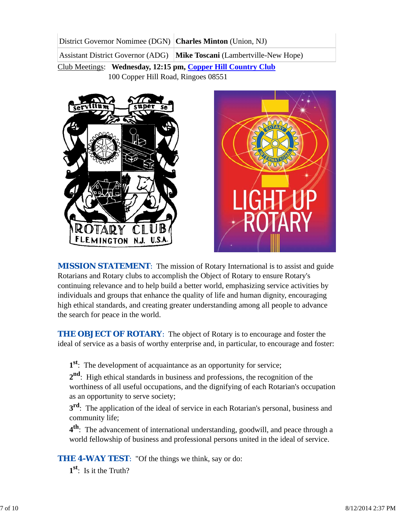District Governor Nomimee (DGN) **Charles Minton** (Union, NJ) Assistant District Governor (ADG) **Mike Toscani** (Lambertville-New Hope)

Club Meetings: **Wednesday, 12:15 pm, Copper Hill Country Club** 100 Copper Hill Road, Ringoes 08551





*MISSION STATEMENT*: The mission of Rotary International is to assist and guide Rotarians and Rotary clubs to accomplish the Object of Rotary to ensure Rotary's continuing relevance and to help build a better world, emphasizing service activities by individuals and groups that enhance the quality of life and human dignity, encouraging high ethical standards, and creating greater understanding among all people to advance the search for peace in the world.

**THE OBJECT OF ROTARY:** The object of Rotary is to encourage and foster the ideal of service as a basis of worthy enterprise and, in particular, to encourage and foster:

**1st**: The development of acquaintance as an opportunity for service;

**2nd**: High ethical standards in business and professions, the recognition of the worthiness of all useful occupations, and the dignifying of each Rotarian's occupation as an opportunity to serve society;

**3<sup>rd</sup>**: The application of the ideal of service in each Rotarian's personal, business and community life;

**4th**: The advancement of international understanding, goodwill, and peace through a world fellowship of business and professional persons united in the ideal of service.

**THE 4-WAY TEST:** "Of the things we think, say or do:

**1st**: Is it the Truth?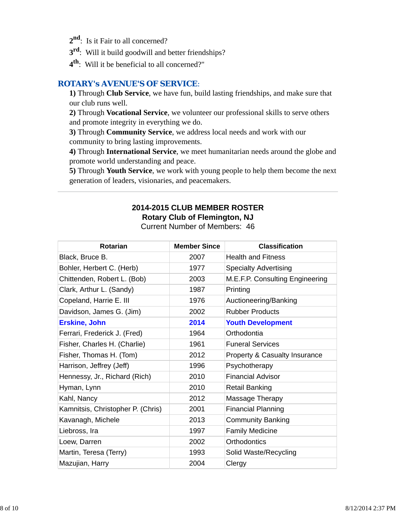- 2<sup>nd</sup>: Is it Fair to all concerned?
- **3rd**: Will it build goodwill and better friendships?
- **4th**: Will it be beneficial to all concerned?"

### *ROTARY's AVENUE'S OF SERVICE*:

**1)** Through **Club Service**, we have fun, build lasting friendships, and make sure that our club runs well.

**2)** Through **Vocational Service**, we volunteer our professional skills to serve others and promote integrity in everything we do.

**3)** Through **Community Service**, we address local needs and work with our community to bring lasting improvements.

**4)** Through **International Service**, we meet humanitarian needs around the globe and promote world understanding and peace.

**5)** Through **Youth Service**, we work with young people to help them become the next generation of leaders, visionaries, and peacemakers.

#### **2014-2015 CLUB MEMBER ROSTER Rotary Club of Flemington, NJ** Current Number of Members: 46

| <b>Rotarian</b>                   | <b>Member Since</b> | <b>Classification</b>                    |
|-----------------------------------|---------------------|------------------------------------------|
| Black, Bruce B.                   | 2007                | <b>Health and Fitness</b>                |
| Bohler, Herbert C. (Herb)         | 1977                | <b>Specialty Advertising</b>             |
| Chittenden, Robert L. (Bob)       | 2003                | M.E.F.P. Consulting Engineering          |
| Clark, Arthur L. (Sandy)          | 1987                | Printing                                 |
| Copeland, Harrie E. III           | 1976                | Auctioneering/Banking                    |
| Davidson, James G. (Jim)          | 2002                | <b>Rubber Products</b>                   |
| <b>Erskine, John</b>              | 2014                | <b>Youth Development</b>                 |
| Ferrari, Frederick J. (Fred)      | 1964                | Orthodontia                              |
| Fisher, Charles H. (Charlie)      | 1961                | <b>Funeral Services</b>                  |
| Fisher, Thomas H. (Tom)           | 2012                | <b>Property &amp; Casualty Insurance</b> |
| Harrison, Jeffrey (Jeff)          | 1996                | Psychotherapy                            |
| Hennessy, Jr., Richard (Rich)     | 2010                | <b>Financial Advisor</b>                 |
| Hyman, Lynn                       | 2010                | Retail Banking                           |
| Kahl, Nancy                       | 2012                | Massage Therapy                          |
| Kamnitsis, Christopher P. (Chris) | 2001                | <b>Financial Planning</b>                |
| Kavanagh, Michele                 | 2013                | <b>Community Banking</b>                 |
| Liebross, Ira                     | 1997                | <b>Family Medicine</b>                   |
| Loew, Darren                      | 2002                | <b>Orthodontics</b>                      |
| Martin, Teresa (Terry)            | 1993                | Solid Waste/Recycling                    |
| Mazujian, Harry                   | 2004                | Clergy                                   |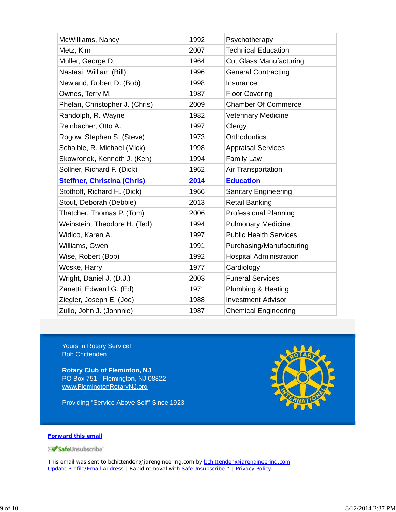| McWilliams, Nancy                  | 1992 | Psychotherapy                  |
|------------------------------------|------|--------------------------------|
| Metz, Kim                          | 2007 | <b>Technical Education</b>     |
| Muller, George D.                  | 1964 | <b>Cut Glass Manufacturing</b> |
| Nastasi, William (Bill)            | 1996 | <b>General Contracting</b>     |
| Newland, Robert D. (Bob)           | 1998 | Insurance                      |
| Ownes, Terry M.                    | 1987 | <b>Floor Covering</b>          |
| Phelan, Christopher J. (Chris)     | 2009 | <b>Chamber Of Commerce</b>     |
| Randolph, R. Wayne                 | 1982 | <b>Veterinary Medicine</b>     |
| Reinbacher, Otto A.                | 1997 | Clergy                         |
| Rogow, Stephen S. (Steve)          | 1973 | <b>Orthodontics</b>            |
| Schaible, R. Michael (Mick)        | 1998 | <b>Appraisal Services</b>      |
| Skowronek, Kenneth J. (Ken)        | 1994 | <b>Family Law</b>              |
| Sollner, Richard F. (Dick)         | 1962 | Air Transportation             |
|                                    |      |                                |
| <b>Steffner, Christina (Chris)</b> | 2014 | <b>Education</b>               |
| Stothoff, Richard H. (Dick)        | 1966 | Sanitary Engineering           |
| Stout, Deborah (Debbie)            | 2013 | <b>Retail Banking</b>          |
| Thatcher, Thomas P. (Tom)          | 2006 | <b>Professional Planning</b>   |
| Weinstein, Theodore H. (Ted)       | 1994 | <b>Pulmonary Medicine</b>      |
| Widico, Karen A.                   | 1997 | <b>Public Health Services</b>  |
| Williams, Gwen                     | 1991 | Purchasing/Manufacturing       |
| Wise, Robert (Bob)                 | 1992 | <b>Hospital Administration</b> |
| Woske, Harry                       | 1977 | Cardiology                     |
| Wright, Daniel J. (D.J.)           | 2003 | <b>Funeral Services</b>        |
| Zanetti, Edward G. (Ed)            | 1971 | Plumbing & Heating             |
| Ziegler, Joseph E. (Joe)           | 1988 | <b>Investment Advisor</b>      |

Yours in Rotary Service! Bob Chittenden

**Rotary Club of Fleminton, NJ** PO Box 751 - Flemington, NJ 08822 www.FlemingtonRotaryNJ.org

Providing "Service Above Self" Since 1923



#### **Forward this email**

SafeUnsubscribe

This email was sent to bchittenden@jarengineering.com by **bchittenden@jarengineering.com** | Update Profile/Email Address | Rapid removal with SafeUnsubscribe™ | Privacy Policy.